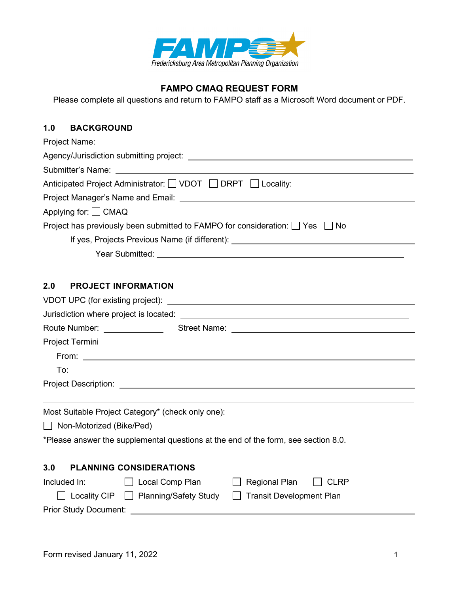

# **FAMPO CMAQ REQUEST FORM**

Please complete all questions and return to FAMPO staff as a Microsoft Word document or PDF.

# **1.0 BACKGROUND**

| Anticipated Project Administrator: U VDOT DRPT D Locality: University Anticipated Project Administrator: U VDOT DRPT D Locality:                                                                                               |  |  |  |  |
|--------------------------------------------------------------------------------------------------------------------------------------------------------------------------------------------------------------------------------|--|--|--|--|
|                                                                                                                                                                                                                                |  |  |  |  |
| Applying for: □ CMAQ                                                                                                                                                                                                           |  |  |  |  |
| Project has previously been submitted to FAMPO for consideration: $\Box$ Yes $\Box$ No                                                                                                                                         |  |  |  |  |
| If yes, Projects Previous Name (if different): _________________________________                                                                                                                                               |  |  |  |  |
| Year Submitted: We are a state of the state of the state of the state of the state of the state of the state of the state of the state of the state of the state of the state of the state of the state of the state of the st |  |  |  |  |
|                                                                                                                                                                                                                                |  |  |  |  |
| <b>PROJECT INFORMATION</b><br>2.0                                                                                                                                                                                              |  |  |  |  |
|                                                                                                                                                                                                                                |  |  |  |  |
|                                                                                                                                                                                                                                |  |  |  |  |
| Route Number: Street Name: 2008 Street Name: 2008 81                                                                                                                                                                           |  |  |  |  |
| Project Termini                                                                                                                                                                                                                |  |  |  |  |
|                                                                                                                                                                                                                                |  |  |  |  |
| $\frac{1}{2}$                                                                                                                                                                                                                  |  |  |  |  |
|                                                                                                                                                                                                                                |  |  |  |  |
|                                                                                                                                                                                                                                |  |  |  |  |
| Most Suitable Project Category* (check only one):                                                                                                                                                                              |  |  |  |  |
| □ Non-Motorized (Bike/Ped)                                                                                                                                                                                                     |  |  |  |  |
| *Please answer the supplemental questions at the end of the form, see section 8.0.                                                                                                                                             |  |  |  |  |
|                                                                                                                                                                                                                                |  |  |  |  |
| 3.0<br><b>PLANNING CONSIDERATIONS</b>                                                                                                                                                                                          |  |  |  |  |
| Included In:<br>$\Box$ Local Comp Plan<br>Regional Plan<br>II CLRP                                                                                                                                                             |  |  |  |  |
| □ Locality CIP □ Planning/Safety Study<br>Transit Development Plan                                                                                                                                                             |  |  |  |  |
| Prior Study Document: ____                                                                                                                                                                                                     |  |  |  |  |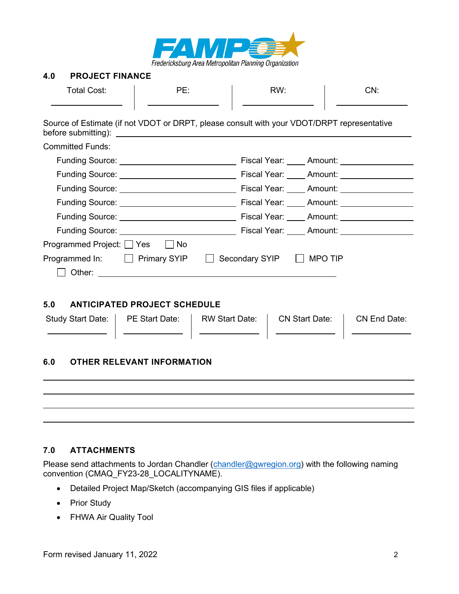

#### **4.0 PROJECT FINANCE**

| <b>Total Cost:</b>                           | PE:                                                                                                                                                                                                                                  | RW:                      | CN:                           |  |
|----------------------------------------------|--------------------------------------------------------------------------------------------------------------------------------------------------------------------------------------------------------------------------------------|--------------------------|-------------------------------|--|
| before submitting):                          | Source of Estimate (if not VDOT or DRPT, please consult with your VDOT/DRPT representative<br><u> Alexandria de la contrada de la contrada de la contrada de la contrada de la contrada de la contrada de la c</u>                   |                          |                               |  |
| <b>Committed Funds:</b>                      |                                                                                                                                                                                                                                      |                          |                               |  |
|                                              |                                                                                                                                                                                                                                      |                          |                               |  |
|                                              |                                                                                                                                                                                                                                      |                          |                               |  |
|                                              |                                                                                                                                                                                                                                      |                          |                               |  |
|                                              |                                                                                                                                                                                                                                      |                          |                               |  |
|                                              |                                                                                                                                                                                                                                      |                          |                               |  |
|                                              | Funding Source: <u>Contract Contract Contract Contract Contract Contract Contract Contract Contract Contract Contract Contract Contract Contract Contract Contract Contract Contract Contract Contract Contract Contract Contrac</u> |                          |                               |  |
| Programmed Project: <u>S</u> Yes <b>B</b> No |                                                                                                                                                                                                                                      |                          |                               |  |
| Programmed In: $\Box$ Primary SYIP           |                                                                                                                                                                                                                                      | Secondary SYIP □ MPO TIP |                               |  |
|                                              |                                                                                                                                                                                                                                      |                          |                               |  |
|                                              |                                                                                                                                                                                                                                      |                          |                               |  |
| 5.0<br><b>ANTICIPATED PROJECT SCHEDULE</b>   |                                                                                                                                                                                                                                      |                          |                               |  |
|                                              | Study Start Date:   PE Start Date:   RW Start Date:                                                                                                                                                                                  |                          | CN Start Date:   CN End Date: |  |
| <b>OTHER RELEVANT INFORMATION</b><br>6.0     |                                                                                                                                                                                                                                      |                          |                               |  |
|                                              |                                                                                                                                                                                                                                      |                          |                               |  |

#### **7.0 ATTACHMENTS**

Please send attachments to Jordan Chandler [\(chandler@gwregion.org\)](mailto:chandler@gwregion.org) with the following naming convention (CMAQ\_FY23-28\_LOCALITYNAME).

- Detailed Project Map/Sketch (accompanying GIS files if applicable)
- Prior Study
- FHWA Air Quality Tool